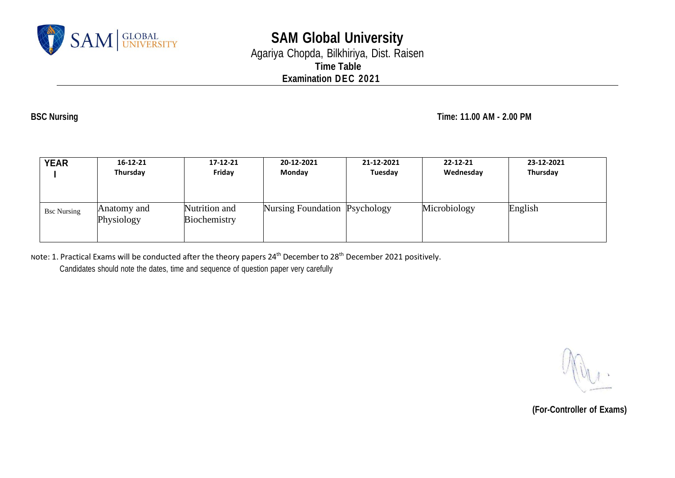

# **SAM Global University** Agariya Chopda, Bilkhiriya, Dist. Raisen **Time Table Examination DEC 2021**

**BSC Nursing Time: 11.00 AM - 2.00 PM**

| <b>YEAR</b>        | 16-12-21                  | 17-12-21                      | 20-12-2021                    | 21-12-2021 | 22-12-21     | 23-12-2021 |
|--------------------|---------------------------|-------------------------------|-------------------------------|------------|--------------|------------|
|                    | Thursday                  | Friday                        | Monday                        | Tuesday    | Wednesday    | Thursday   |
| <b>Bsc Nursing</b> | Anatomy and<br>Physiology | Nutrition and<br>Biochemistry | Nursing Foundation Psychology |            | Microbiology | English    |

Note: 1. Practical Exams will be conducted after the theory papers 24th December to 28th December 2021 positively.

Candidates should note the dates, time and sequence of question paper very carefully

 **(For-Controller of Exams)**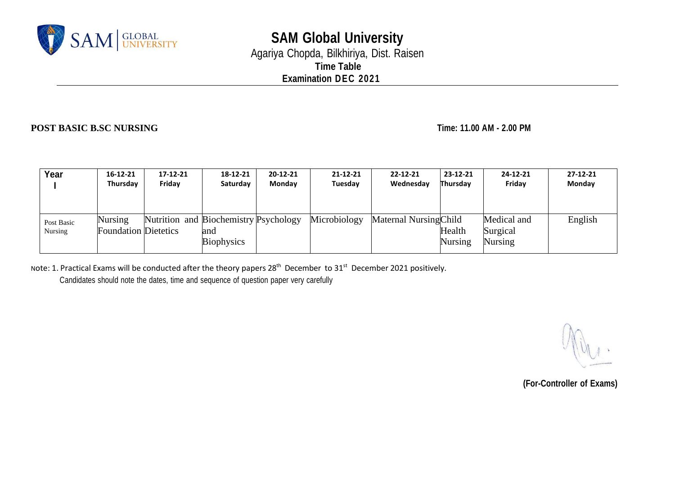

# **SAM Global University** Agariya Chopda, Bilkhiriya, Dist. Raisen **Time Table**

**Examination DEC 2021**

### **POST BASIC B.SC NURSING Time: 11.00 AM - 2.00 PM**

| Year       | $16 - 12 - 21$              | 17-12-21                              | 18-12-21          | $20 - 12 - 21$ | $21 - 12 - 21$ | $22 - 12 - 21$         | $23 - 12 - 21$ | 24-12-21       | $27 - 12 - 21$ |
|------------|-----------------------------|---------------------------------------|-------------------|----------------|----------------|------------------------|----------------|----------------|----------------|
|            | Thursday                    | Friday                                | Saturday          | Monday         | Tuesday        | Wednesday              | Thursday       | Fridav         | Monday         |
|            |                             |                                       |                   |                |                |                        |                |                |                |
|            |                             |                                       |                   |                |                |                        |                |                |                |
| Post Basic | Nursing                     | Nutrition and Biochemistry Psychology |                   |                | Microbiology   | Maternal Nursing Child |                | Medical and    | English        |
| Nursing    | <b>Foundation Dietetics</b> |                                       | and               |                |                |                        | Health         | Surgical       |                |
|            |                             |                                       | <b>Biophysics</b> |                |                |                        | <b>Nursing</b> | <b>Nursing</b> |                |
|            |                             |                                       |                   |                |                |                        |                |                |                |

Note: 1. Practical Exams will be conducted after the theory papers 28<sup>th</sup> December to 31<sup>st</sup> December 2021 positively.

Candidates should note the dates, time and sequence of question paper very carefully

**(For-Controller of Exams)**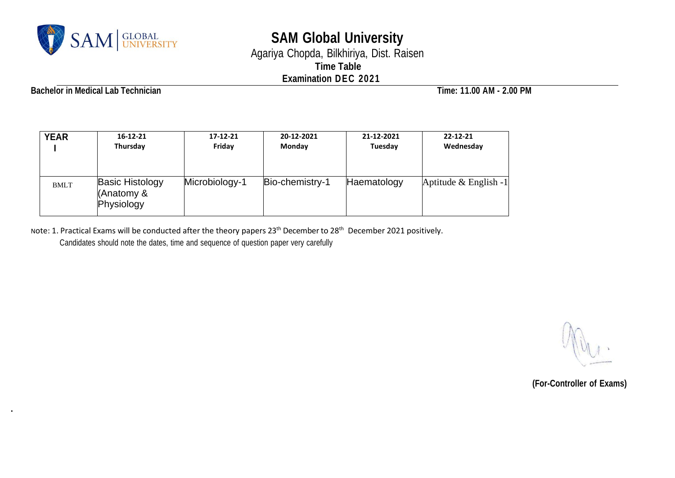

# **SAM Global University**

Agariya Chopda, Bilkhiriya, Dist. Raisen **Time Table Examination DEC 2021**

**Bachelor in Medical Lab Technician Time: 11.00 AM - 2.00 PM**

**.**

| <b>YEAR</b> | $16 - 12 - 21$                                     | 17-12-21       | 20-12-2021      | 21-12-2021  | $22 - 12 - 21$        |
|-------------|----------------------------------------------------|----------------|-----------------|-------------|-----------------------|
|             | Thursday                                           | Friday         | Monday          | Tuesday     | Wednesday             |
| <b>BMLT</b> | <b>Basic Histology</b><br>(Anatomy &<br>Physiology | Microbiology-1 | Bio-chemistry-1 | Haematology | Aptitude & English -1 |

Note: 1. Practical Exams will be conducted after the theory papers 23<sup>th</sup> December to 28<sup>th</sup> December 2021 positively. Candidates should note the dates, time and sequence of question paper very carefully

 **(For-Controller of Exams)**